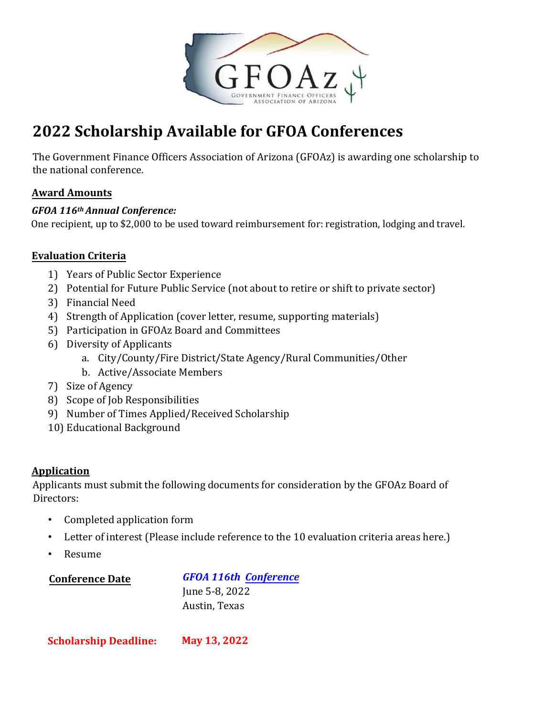

# **2022 Scholarship Available for GFOA Conferences**

The Government Finance Officers Association of Arizona (GFOAz) is awarding one scholarship to the national conference.

### **Award Amounts**

#### *GFOA 116th Annual Conference:*

One recipient, up to \$2,000 to be used toward reimbursement for: registration, lodging and travel.

## **Evaluation Criteria**

- 1) Years of Public Sector Experience
- 2) Potential for Future Public Service (not about to retire or shift to private sector)
- 3) Financial Need
- 4) Strength of Application (cover letter, resume, supporting materials)
- 5) Participation in GFOAz Board and Committees
- 6) Diversity of Applicants
	- a. City/County/Fire District/State Agency/Rural Communities/Other
	- b. Active/Associate Members
- 7) Size of Agency
- 8) Scope of Job Responsibilities
- 9) Number of Times Applied/Received Scholarship
- 10) Educational Background

### **Application**

Applicants must submit the following documents for consideration by the GFOAz Board of Directors:

- Completed application form
- Letter of interest (Please include reference to the 10 evaluation criteria areas here.)
- Resume

**Conference Date** 

*GFOA 116th Conference* June 5-8, 2022 Austin, Texas

**Scholarship Deadline: May 13, 2022**